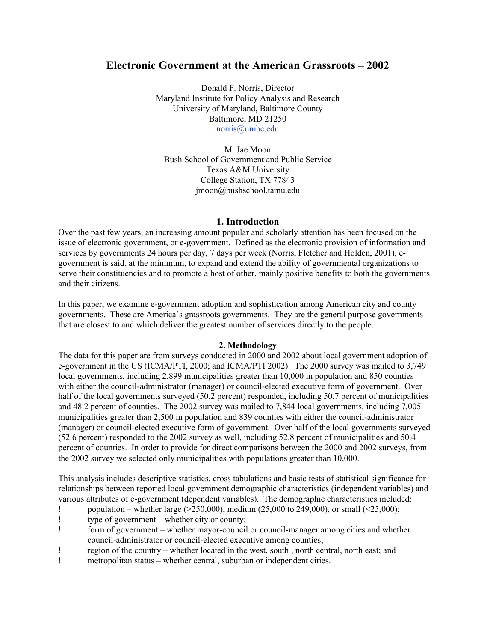### **Electronic Government at the American Grassroots – 2002**

Donald F. Norris, Director Maryland Institute for Policy Analysis and Research University of Maryland, Baltimore County Baltimore, MD 21250 norris@umbc.edu

M. Jae Moon Bush School of Government and Public Service Texas A&M University College Station, TX 77843 jmoon@bushschool.tamu.edu

#### **1. Introduction**

Over the past few years, an increasing amount popular and scholarly attention has been focused on the issue of electronic government, or e-government. Defined as the electronic provision of information and services by governments 24 hours per day, 7 days per week (Norris, Fletcher and Holden, 2001), egovernment is said, at the minimum, to expand and extend the ability of governmental organizations to serve their constituencies and to promote a host of other, mainly positive benefits to both the governments and their citizens.

In this paper, we examine e-government adoption and sophistication among American city and county governments. These are America's grassroots governments. They are the general purpose governments that are closest to and which deliver the greatest number of services directly to the people.

#### **2. Methodology**

The data for this paper are from surveys conducted in 2000 and 2002 about local government adoption of e-government in the US (ICMA/PTI, 2000; and ICMA/PTI 2002). The 2000 survey was mailed to 3,749 local governments, including 2,899 municipalities greater than 10,000 in population and 850 counties with either the council-administrator (manager) or council-elected executive form of government. Over half of the local governments surveyed (50.2 percent) responded, including 50.7 percent of municipalities and 48.2 percent of counties. The 2002 survey was mailed to 7,844 local governments, including 7,005 municipalities greater than 2,500 in population and 839 counties with either the council-administrator (manager) or council-elected executive form of government. Over half of the local governments surveyed (52.6 percent) responded to the 2002 survey as well, including 52.8 percent of municipalities and 50.4 percent of counties. In order to provide for direct comparisons between the 2000 and 2002 surveys, from the 2002 survey we selected only municipalities with populations greater than 10,000.

This analysis includes descriptive statistics, cross tabulations and basic tests of statistical significance for relationships between reported local government demographic characteristics (independent variables) and various attributes of e-government (dependent variables). The demographic characteristics included:

- ! population whether large  $(250,000)$ , medium  $(25,000$  to  $249,000)$ , or small  $(25,000)$ ;
- ! type of government whether city or county;
- ! form of government whether mayor-council or council-manager among cities and whether council-administrator or council-elected executive among counties;
- ! region of the country whether located in the west, south , north central, north east; and
- ! metropolitan status whether central, suburban or independent cities.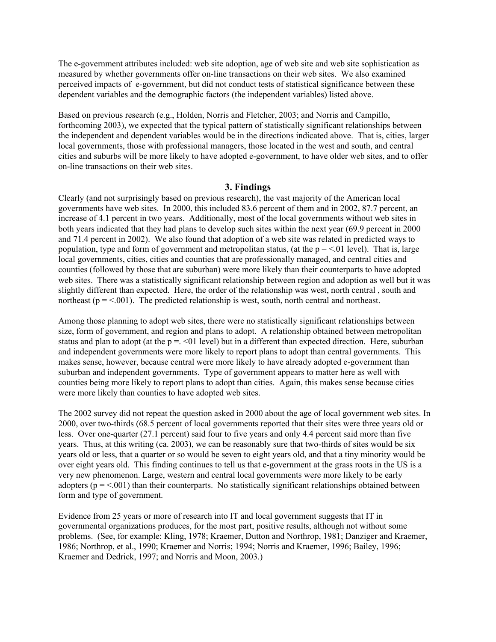The e-government attributes included: web site adoption, age of web site and web site sophistication as measured by whether governments offer on-line transactions on their web sites. We also examined perceived impacts of e-government, but did not conduct tests of statistical significance between these dependent variables and the demographic factors (the independent variables) listed above.

Based on previous research (e.g., Holden, Norris and Fletcher, 2003; and Norris and Campillo, forthcoming 2003), we expected that the typical pattern of statistically significant relationships between the independent and dependent variables would be in the directions indicated above. That is, cities, larger local governments, those with professional managers, those located in the west and south, and central cities and suburbs will be more likely to have adopted e-government, to have older web sites, and to offer on-line transactions on their web sites.

#### **3. Findings**

Clearly (and not surprisingly based on previous research), the vast majority of the American local governments have web sites. In 2000, this included 83.6 percent of them and in 2002, 87.7 percent, an increase of 4.1 percent in two years. Additionally, most of the local governments without web sites in both years indicated that they had plans to develop such sites within the next year (69.9 percent in 2000 and 71.4 percent in 2002). We also found that adoption of a web site was related in predicted ways to population, type and form of government and metropolitan status, (at the  $p = 0.01$  level). That is, large local governments, cities, cities and counties that are professionally managed, and central cities and counties (followed by those that are suburban) were more likely than their counterparts to have adopted web sites. There was a statistically significant relationship between region and adoption as well but it was slightly different than expected. Here, the order of the relationship was west, north central , south and northeast ( $p = 0.001$ ). The predicted relationship is west, south, north central and northeast.

Among those planning to adopt web sites, there were no statistically significant relationships between size, form of government, and region and plans to adopt. A relationship obtained between metropolitan status and plan to adopt (at the  $p = 0.501$  level) but in a different than expected direction. Here, suburban and independent governments were more likely to report plans to adopt than central governments. This makes sense, however, because central were more likely to have already adopted e-government than suburban and independent governments. Type of government appears to matter here as well with counties being more likely to report plans to adopt than cities. Again, this makes sense because cities were more likely than counties to have adopted web sites.

The 2002 survey did not repeat the question asked in 2000 about the age of local government web sites. In 2000, over two-thirds (68.5 percent of local governments reported that their sites were three years old or less. Over one-quarter (27.1 percent) said four to five years and only 4.4 percent said more than five years. Thus, at this writing (ca. 2003), we can be reasonably sure that two-thirds of sites would be six years old or less, that a quarter or so would be seven to eight years old, and that a tiny minority would be over eight years old. This finding continues to tell us that e-government at the grass roots in the US is a very new phenomenon. Large, western and central local governments were more likely to be early adopters ( $p = <.001$ ) than their counterparts. No statistically significant relationships obtained between form and type of government.

Evidence from 25 years or more of research into IT and local government suggests that IT in governmental organizations produces, for the most part, positive results, although not without some problems. (See, for example: Kling, 1978; Kraemer, Dutton and Northrop, 1981; Danziger and Kraemer, 1986; Northrop, et al., 1990; Kraemer and Norris; 1994; Norris and Kraemer, 1996; Bailey, 1996; Kraemer and Dedrick, 1997; and Norris and Moon, 2003.)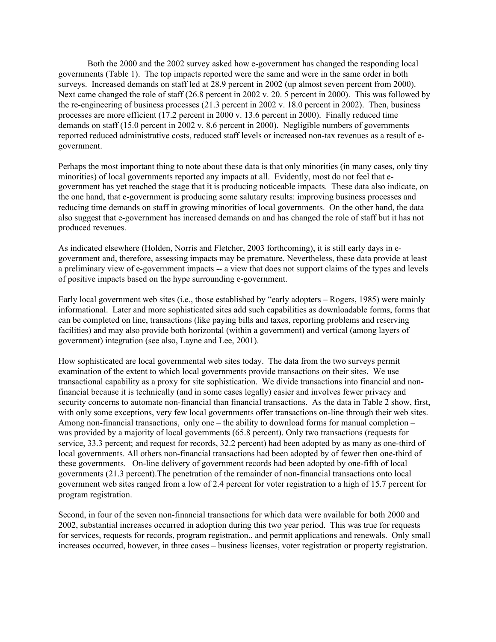Both the 2000 and the 2002 survey asked how e-government has changed the responding local governments (Table 1). The top impacts reported were the same and were in the same order in both surveys. Increased demands on staff led at 28.9 percent in 2002 (up almost seven percent from 2000). Next came changed the role of staff (26.8 percent in 2002 v. 20, 5 percent in 2000). This was followed by the re-engineering of business processes (21.3 percent in 2002 v. 18.0 percent in 2002). Then, business processes are more efficient (17.2 percent in 2000 v. 13.6 percent in 2000). Finally reduced time demands on staff (15.0 percent in 2002 v. 8.6 percent in 2000). Negligible numbers of governments reported reduced administrative costs, reduced staff levels or increased non-tax revenues as a result of egovernment.

Perhaps the most important thing to note about these data is that only minorities (in many cases, only tiny minorities) of local governments reported any impacts at all. Evidently, most do not feel that egovernment has yet reached the stage that it is producing noticeable impacts. These data also indicate, on the one hand, that e-government is producing some salutary results: improving business processes and reducing time demands on staff in growing minorities of local governments. On the other hand, the data also suggest that e-government has increased demands on and has changed the role of staff but it has not produced revenues.

As indicated elsewhere (Holden, Norris and Fletcher, 2003 forthcoming), it is still early days in egovernment and, therefore, assessing impacts may be premature. Nevertheless, these data provide at least a preliminary view of e-government impacts -- a view that does not support claims of the types and levels of positive impacts based on the hype surrounding e-government.

Early local government web sites (i.e., those established by "early adopters – Rogers, 1985) were mainly informational. Later and more sophisticated sites add such capabilities as downloadable forms, forms that can be completed on line, transactions (like paying bills and taxes, reporting problems and reserving facilities) and may also provide both horizontal (within a government) and vertical (among layers of government) integration (see also, Layne and Lee, 2001).

How sophisticated are local governmental web sites today. The data from the two surveys permit examination of the extent to which local governments provide transactions on their sites. We use transactional capability as a proxy for site sophistication. We divide transactions into financial and nonfinancial because it is technically (and in some cases legally) easier and involves fewer privacy and security concerns to automate non-financial than financial transactions. As the data in Table 2 show, first, with only some exceptions, very few local governments offer transactions on-line through their web sites. Among non-financial transactions, only one – the ability to download forms for manual completion – was provided by a majority of local governments (65.8 percent). Only two transactions (requests for service, 33.3 percent; and request for records, 32.2 percent) had been adopted by as many as one-third of local governments. All others non-financial transactions had been adopted by of fewer then one-third of these governments. On-line delivery of government records had been adopted by one-fifth of local governments (21.3 percent).The penetration of the remainder of non-financial transactions onto local government web sites ranged from a low of 2.4 percent for voter registration to a high of 15.7 percent for program registration.

Second, in four of the seven non-financial transactions for which data were available for both 2000 and 2002, substantial increases occurred in adoption during this two year period. This was true for requests for services, requests for records, program registration., and permit applications and renewals. Only small increases occurred, however, in three cases – business licenses, voter registration or property registration.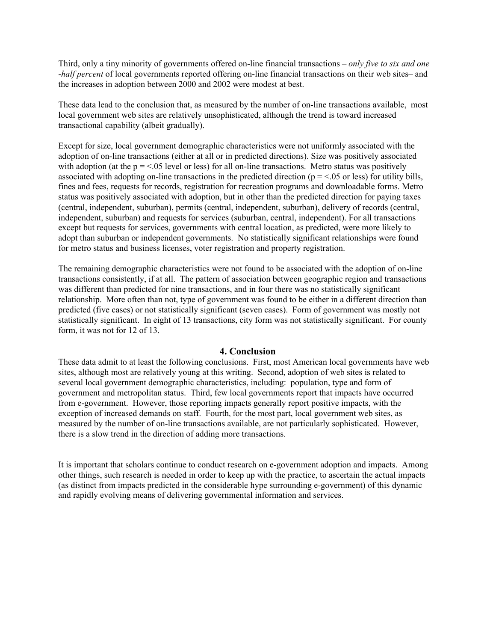Third, only a tiny minority of governments offered on-line financial transactions – *only five to six and one -half percent* of local governments reported offering on-line financial transactions on their web sites– and the increases in adoption between 2000 and 2002 were modest at best.

These data lead to the conclusion that, as measured by the number of on-line transactions available, most local government web sites are relatively unsophisticated, although the trend is toward increased transactional capability (albeit gradually).

Except for size, local government demographic characteristics were not uniformly associated with the adoption of on-line transactions (either at all or in predicted directions). Size was positively associated with adoption (at the  $p = 0.05$  level or less) for all on-line transactions. Metro status was positively associated with adopting on-line transactions in the predicted direction ( $p = <.05$  or less) for utility bills, fines and fees, requests for records, registration for recreation programs and downloadable forms. Metro status was positively associated with adoption, but in other than the predicted direction for paying taxes (central, independent, suburban), permits (central, independent, suburban), delivery of records (central, independent, suburban) and requests for services (suburban, central, independent). For all transactions except but requests for services, governments with central location, as predicted, were more likely to adopt than suburban or independent governments. No statistically significant relationships were found for metro status and business licenses, voter registration and property registration.

The remaining demographic characteristics were not found to be associated with the adoption of on-line transactions consistently, if at all. The pattern of association between geographic region and transactions was different than predicted for nine transactions, and in four there was no statistically significant relationship. More often than not, type of government was found to be either in a different direction than predicted (five cases) or not statistically significant (seven cases). Form of government was mostly not statistically significant. In eight of 13 transactions, city form was not statistically significant. For county form, it was not for 12 of 13.

#### **4. Conclusion**

These data admit to at least the following conclusions. First, most American local governments have web sites, although most are relatively young at this writing. Second, adoption of web sites is related to several local government demographic characteristics, including: population, type and form of government and metropolitan status. Third, few local governments report that impacts have occurred from e-government. However, those reporting impacts generally report positive impacts, with the exception of increased demands on staff. Fourth, for the most part, local government web sites, as measured by the number of on-line transactions available, are not particularly sophisticated. However, there is a slow trend in the direction of adding more transactions.

It is important that scholars continue to conduct research on e-government adoption and impacts. Among other things, such research is needed in order to keep up with the practice, to ascertain the actual impacts (as distinct from impacts predicted in the considerable hype surrounding e-government) of this dynamic and rapidly evolving means of delivering governmental information and services.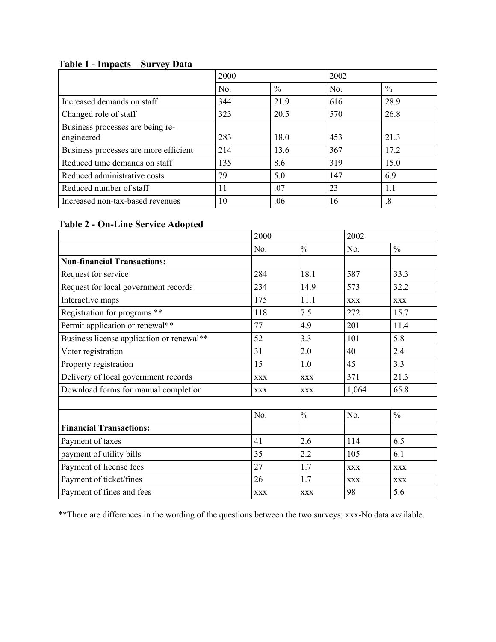# **Table 1 - Impacts – Survey Data**

|                                                | 2000 |               | 2002 |               |
|------------------------------------------------|------|---------------|------|---------------|
|                                                | No.  | $\frac{0}{0}$ | No.  | $\frac{0}{0}$ |
| Increased demands on staff                     | 344  | 21.9          | 616  | 28.9          |
| Changed role of staff                          | 323  | 20.5          | 570  | 26.8          |
| Business processes are being re-<br>engineered | 283  | 18.0          | 453  | 21.3          |
| Business processes are more efficient          | 214  | 13.6          | 367  | 17.2          |
| Reduced time demands on staff                  | 135  | 8.6           | 319  | 15.0          |
| Reduced administrative costs                   | 79   | 5.0           | 147  | 6.9           |
| Reduced number of staff                        | 11   | .07           | 23   | 1.1           |
| Increased non-tax-based revenues               | 10   | .06           | 16   | .8            |

## **Table 2 - On-Line Service Adopted**

|                                           | 2000       |               | 2002       |               |
|-------------------------------------------|------------|---------------|------------|---------------|
|                                           | No.        | $\frac{0}{0}$ | No.        | $\frac{0}{0}$ |
| <b>Non-financial Transactions:</b>        |            |               |            |               |
| Request for service                       | 284        | 18.1          | 587        | 33.3          |
| Request for local government records      | 234        | 14.9          | 573        | 32.2          |
| Interactive maps                          | 175        | 11.1          | <b>XXX</b> | <b>XXX</b>    |
| Registration for programs **              | 118        | 7.5           | 272        | 15.7          |
| Permit application or renewal**           | 77         | 4.9           | 201        | 11.4          |
| Business license application or renewal** | 52         | 3.3           | 101        | 5.8           |
| Voter registration                        | 31         | 2.0           | 40         | 2.4           |
| Property registration                     | 15         | 1.0           | 45         | 3.3           |
| Delivery of local government records      | <b>XXX</b> | <b>XXX</b>    | 371        | 21.3          |
| Download forms for manual completion      | <b>XXX</b> | <b>XXX</b>    | 1,064      | 65.8          |
|                                           |            |               |            |               |
|                                           | No.        | $\frac{0}{0}$ | No.        | $\frac{0}{0}$ |
| <b>Financial Transactions:</b>            |            |               |            |               |
| Payment of taxes                          | 41         | 2.6           | 114        | 6.5           |
| payment of utility bills                  | 35         | 2.2           | 105        | 6.1           |
| Payment of license fees                   | 27         | 1.7           | <b>XXX</b> | <b>XXX</b>    |
| Payment of ticket/fines                   | 26         | 1.7           | <b>XXX</b> | <b>XXX</b>    |
| Payment of fines and fees                 | <b>XXX</b> | <b>XXX</b>    | 98         | 5.6           |

\*\*There are differences in the wording of the questions between the two surveys; xxx-No data available.